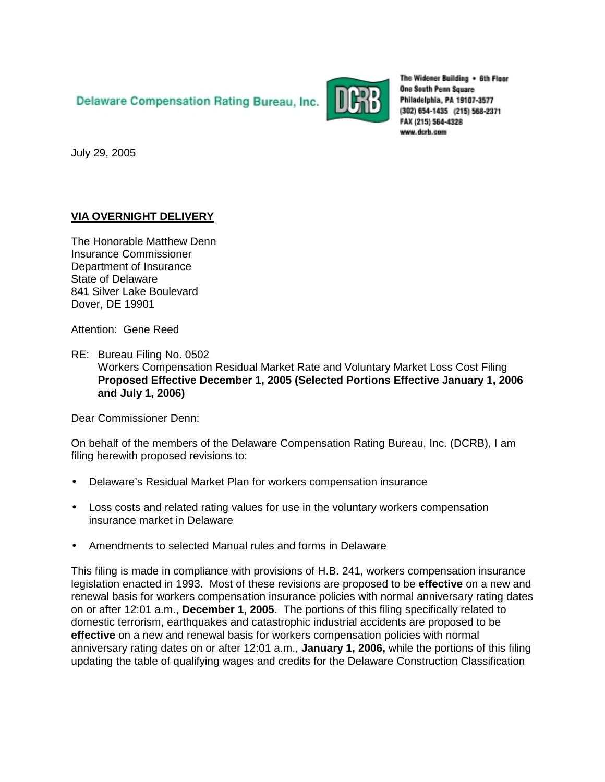# Delaware Compensation Rating Bureau, Inc.



The Widener Building + 6th Floor **One South Penn Square** Philadelphia, PA 19107-3577 (302) 654-1435 (215) 568-2371 FAX (215) 564-4328 www.dcrb.com

July 29, 2005

# **VIA OVERNIGHT DELIVERY**

The Honorable Matthew Denn Insurance Commissioner Department of Insurance State of Delaware 841 Silver Lake Boulevard Dover, DE 19901

Attention: Gene Reed

RE: Bureau Filing No. 0502 Workers Compensation Residual Market Rate and Voluntary Market Loss Cost Filing **Proposed Effective December 1, 2005 (Selected Portions Effective January 1, 2006 and July 1, 2006)** 

Dear Commissioner Denn:

On behalf of the members of the Delaware Compensation Rating Bureau, Inc. (DCRB), I am filing herewith proposed revisions to:

- Delaware's Residual Market Plan for workers compensation insurance
- Loss costs and related rating values for use in the voluntary workers compensation insurance market in Delaware
- Amendments to selected Manual rules and forms in Delaware

This filing is made in compliance with provisions of H.B. 241, workers compensation insurance legislation enacted in 1993. Most of these revisions are proposed to be **effective** on a new and renewal basis for workers compensation insurance policies with normal anniversary rating dates on or after 12:01 a.m., **December 1, 2005**. The portions of this filing specifically related to domestic terrorism, earthquakes and catastrophic industrial accidents are proposed to be **effective** on a new and renewal basis for workers compensation policies with normal anniversary rating dates on or after 12:01 a.m., **January 1, 2006,** while the portions of this filing updating the table of qualifying wages and credits for the Delaware Construction Classification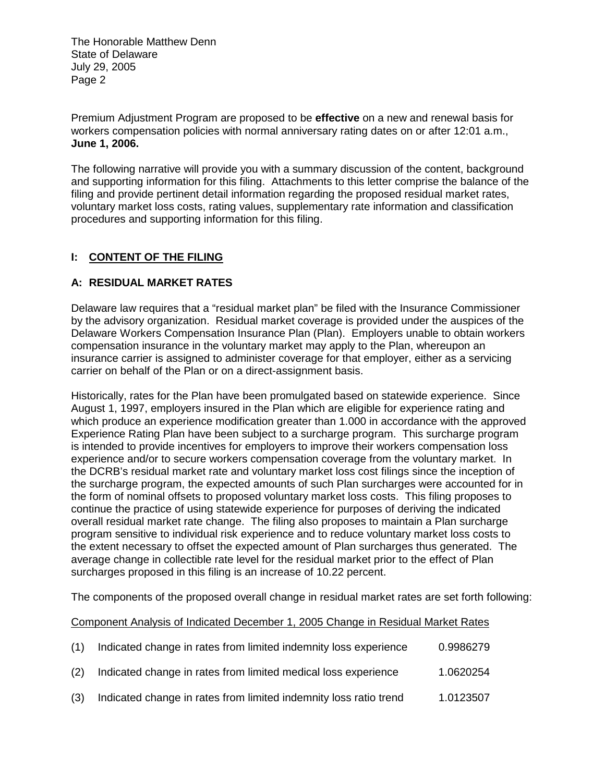Premium Adjustment Program are proposed to be **effective** on a new and renewal basis for workers compensation policies with normal anniversary rating dates on or after 12:01 a.m., **June 1, 2006.**

The following narrative will provide you with a summary discussion of the content, background and supporting information for this filing. Attachments to this letter comprise the balance of the filing and provide pertinent detail information regarding the proposed residual market rates, voluntary market loss costs, rating values, supplementary rate information and classification procedures and supporting information for this filing.

## **I: CONTENT OF THE FILING**

# **A: RESIDUAL MARKET RATES**

Delaware law requires that a "residual market plan" be filed with the Insurance Commissioner by the advisory organization. Residual market coverage is provided under the auspices of the Delaware Workers Compensation Insurance Plan (Plan). Employers unable to obtain workers compensation insurance in the voluntary market may apply to the Plan, whereupon an insurance carrier is assigned to administer coverage for that employer, either as a servicing carrier on behalf of the Plan or on a direct-assignment basis.

Historically, rates for the Plan have been promulgated based on statewide experience. Since August 1, 1997, employers insured in the Plan which are eligible for experience rating and which produce an experience modification greater than 1.000 in accordance with the approved Experience Rating Plan have been subject to a surcharge program. This surcharge program is intended to provide incentives for employers to improve their workers compensation loss experience and/or to secure workers compensation coverage from the voluntary market. In the DCRB's residual market rate and voluntary market loss cost filings since the inception of the surcharge program, the expected amounts of such Plan surcharges were accounted for in the form of nominal offsets to proposed voluntary market loss costs. This filing proposes to continue the practice of using statewide experience for purposes of deriving the indicated overall residual market rate change. The filing also proposes to maintain a Plan surcharge program sensitive to individual risk experience and to reduce voluntary market loss costs to the extent necessary to offset the expected amount of Plan surcharges thus generated. The average change in collectible rate level for the residual market prior to the effect of Plan surcharges proposed in this filing is an increase of 10.22 percent.

The components of the proposed overall change in residual market rates are set forth following:

Component Analysis of Indicated December 1, 2005 Change in Residual Market Rates

| (1) | Indicated change in rates from limited indemnity loss experience  | 0.9986279 |
|-----|-------------------------------------------------------------------|-----------|
| (2) | Indicated change in rates from limited medical loss experience    | 1.0620254 |
| (3) | Indicated change in rates from limited indemnity loss ratio trend | 1.0123507 |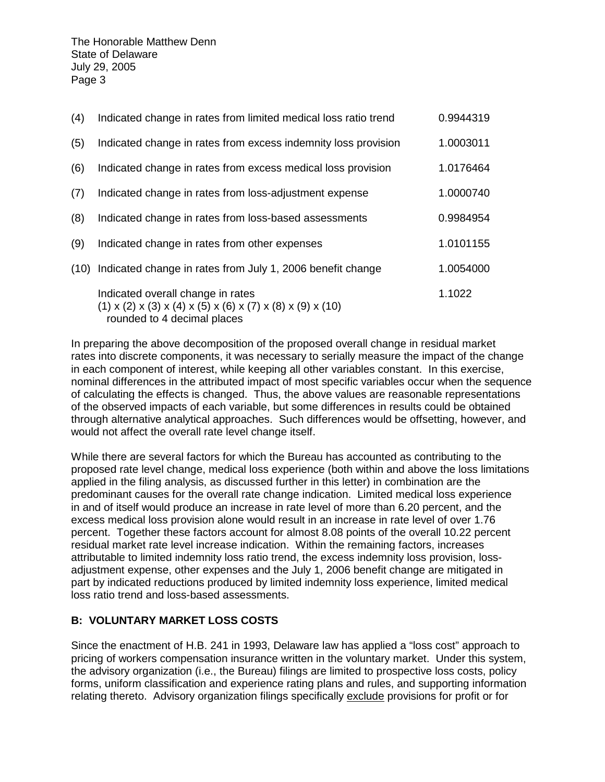| (4) | Indicated change in rates from limited medical loss ratio trend                                                                                    | 0.9944319 |
|-----|----------------------------------------------------------------------------------------------------------------------------------------------------|-----------|
| (5) | Indicated change in rates from excess indemnity loss provision                                                                                     | 1.0003011 |
| (6) | Indicated change in rates from excess medical loss provision                                                                                       | 1.0176464 |
| (7) | Indicated change in rates from loss-adjustment expense                                                                                             | 1.0000740 |
| (8) | Indicated change in rates from loss-based assessments                                                                                              | 0.9984954 |
| (9) | Indicated change in rates from other expenses                                                                                                      | 1.0101155 |
|     | (10) Indicated change in rates from July 1, 2006 benefit change                                                                                    | 1.0054000 |
|     | Indicated overall change in rates<br>$(1)$ x $(2)$ x $(3)$ x $(4)$ x $(5)$ x $(6)$ x $(7)$ x $(8)$ x $(9)$ x $(10)$<br>rounded to 4 decimal places | 1.1022    |

In preparing the above decomposition of the proposed overall change in residual market rates into discrete components, it was necessary to serially measure the impact of the change in each component of interest, while keeping all other variables constant. In this exercise, nominal differences in the attributed impact of most specific variables occur when the sequence of calculating the effects is changed. Thus, the above values are reasonable representations of the observed impacts of each variable, but some differences in results could be obtained through alternative analytical approaches. Such differences would be offsetting, however, and would not affect the overall rate level change itself.

While there are several factors for which the Bureau has accounted as contributing to the proposed rate level change, medical loss experience (both within and above the loss limitations applied in the filing analysis, as discussed further in this letter) in combination are the predominant causes for the overall rate change indication. Limited medical loss experience in and of itself would produce an increase in rate level of more than 6.20 percent, and the excess medical loss provision alone would result in an increase in rate level of over 1.76 percent. Together these factors account for almost 8.08 points of the overall 10.22 percent residual market rate level increase indication. Within the remaining factors, increases attributable to limited indemnity loss ratio trend, the excess indemnity loss provision, lossadjustment expense, other expenses and the July 1, 2006 benefit change are mitigated in part by indicated reductions produced by limited indemnity loss experience, limited medical loss ratio trend and loss-based assessments.

### **B: VOLUNTARY MARKET LOSS COSTS**

Since the enactment of H.B. 241 in 1993, Delaware law has applied a "loss cost" approach to pricing of workers compensation insurance written in the voluntary market. Under this system, the advisory organization (i.e., the Bureau) filings are limited to prospective loss costs, policy forms, uniform classification and experience rating plans and rules, and supporting information relating thereto. Advisory organization filings specifically exclude provisions for profit or for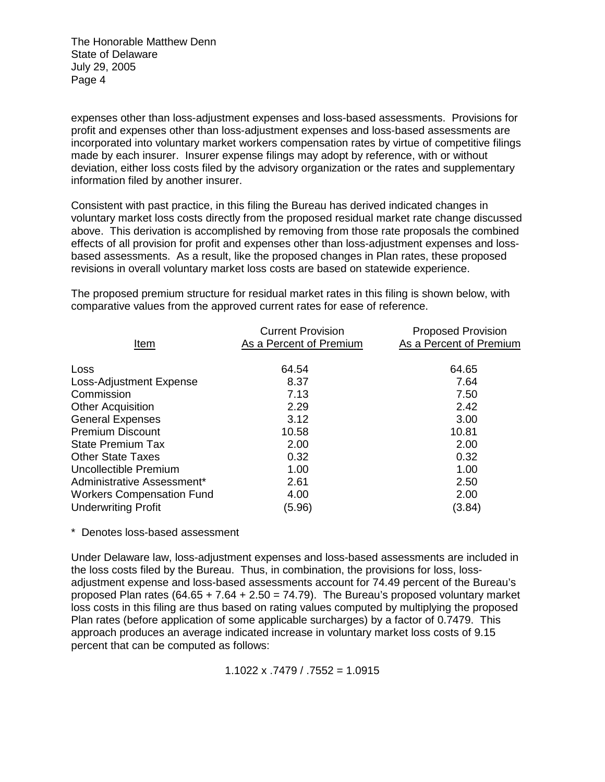expenses other than loss-adjustment expenses and loss-based assessments. Provisions for profit and expenses other than loss-adjustment expenses and loss-based assessments are incorporated into voluntary market workers compensation rates by virtue of competitive filings made by each insurer. Insurer expense filings may adopt by reference, with or without deviation, either loss costs filed by the advisory organization or the rates and supplementary information filed by another insurer.

Consistent with past practice, in this filing the Bureau has derived indicated changes in voluntary market loss costs directly from the proposed residual market rate change discussed above. This derivation is accomplished by removing from those rate proposals the combined effects of all provision for profit and expenses other than loss-adjustment expenses and lossbased assessments. As a result, like the proposed changes in Plan rates, these proposed revisions in overall voluntary market loss costs are based on statewide experience.

The proposed premium structure for residual market rates in this filing is shown below, with comparative values from the approved current rates for ease of reference.

| Item                             | <b>Current Provision</b><br>As a Percent of Premium | <b>Proposed Provision</b><br>As a Percent of Premium |
|----------------------------------|-----------------------------------------------------|------------------------------------------------------|
| Loss                             | 64.54                                               | 64.65                                                |
| Loss-Adjustment Expense          | 8.37                                                | 7.64                                                 |
| Commission                       | 7.13                                                | 7.50                                                 |
| <b>Other Acquisition</b>         | 2.29                                                | 2.42                                                 |
| <b>General Expenses</b>          | 3.12                                                | 3.00                                                 |
| <b>Premium Discount</b>          | 10.58                                               | 10.81                                                |
| <b>State Premium Tax</b>         | 2.00                                                | 2.00                                                 |
| <b>Other State Taxes</b>         | 0.32                                                | 0.32                                                 |
| Uncollectible Premium            | 1.00                                                | 1.00                                                 |
| Administrative Assessment*       | 2.61                                                | 2.50                                                 |
| <b>Workers Compensation Fund</b> | 4.00                                                | 2.00                                                 |
| <b>Underwriting Profit</b>       | (5.96)                                              | (3.84)                                               |

\* Denotes loss-based assessment

Under Delaware law, loss-adjustment expenses and loss-based assessments are included in the loss costs filed by the Bureau. Thus, in combination, the provisions for loss, lossadjustment expense and loss-based assessments account for 74.49 percent of the Bureau's proposed Plan rates  $(64.65 + 7.64 + 2.50 = 74.79)$ . The Bureau's proposed voluntary market loss costs in this filing are thus based on rating values computed by multiplying the proposed Plan rates (before application of some applicable surcharges) by a factor of 0.7479. This approach produces an average indicated increase in voluntary market loss costs of 9.15 percent that can be computed as follows:

1.1022 x .7479  $/$  .7552 = 1.0915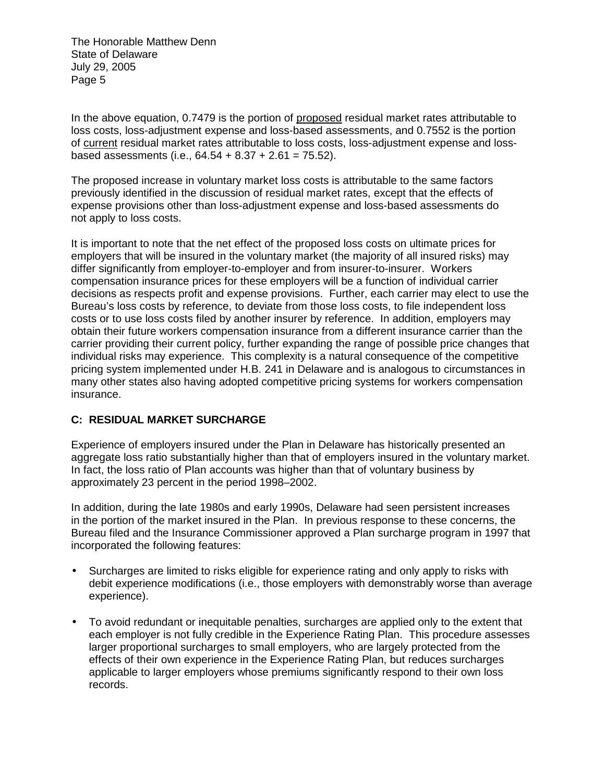In the above equation, 0.7479 is the portion of proposed residual market rates attributable to loss costs, loss-adjustment expense and loss-based assessments, and 0.7552 is the portion of current residual market rates attributable to loss costs, loss-adjustment expense and lossbased assessments (i.e.,  $64.54 + 8.37 + 2.61 = 75.52$ ).

The proposed increase in voluntary market loss costs is attributable to the same factors previously identified in the discussion of residual market rates, except that the effects of expense provisions other than loss-adjustment expense and loss-based assessments do not apply to loss costs.

It is important to note that the net effect of the proposed loss costs on ultimate prices for employers that will be insured in the voluntary market (the majority of all insured risks) may differ significantly from employer-to-employer and from insurer-to-insurer. Workers compensation insurance prices for these employers will be a function of individual carrier decisions as respects profit and expense provisions. Further, each carrier may elect to use the Bureau's loss costs by reference, to deviate from those loss costs, to file independent loss costs or to use loss costs filed by another insurer by reference. In addition, employers may obtain their future workers compensation insurance from a different insurance carrier than the carrier providing their current policy, further expanding the range of possible price changes that individual risks may experience. This complexity is a natural consequence of the competitive pricing system implemented under H.B. 241 in Delaware and is analogous to circumstances in many other states also having adopted competitive pricing systems for workers compensation insurance.

## **C: RESIDUAL MARKET SURCHARGE**

Experience of employers insured under the Plan in Delaware has historically presented an aggregate loss ratio substantially higher than that of employers insured in the voluntary market. In fact, the loss ratio of Plan accounts was higher than that of voluntary business by approximately 23 percent in the period 1998–2002.

In addition, during the late 1980s and early 1990s, Delaware had seen persistent increases in the portion of the market insured in the Plan. In previous response to these concerns, the Bureau filed and the Insurance Commissioner approved a Plan surcharge program in 1997 that incorporated the following features:

- Surcharges are limited to risks eligible for experience rating and only apply to risks with debit experience modifications (i.e., those employers with demonstrably worse than average experience).
- To avoid redundant or inequitable penalties, surcharges are applied only to the extent that each employer is not fully credible in the Experience Rating Plan. This procedure assesses larger proportional surcharges to small employers, who are largely protected from the effects of their own experience in the Experience Rating Plan, but reduces surcharges applicable to larger employers whose premiums significantly respond to their own loss records.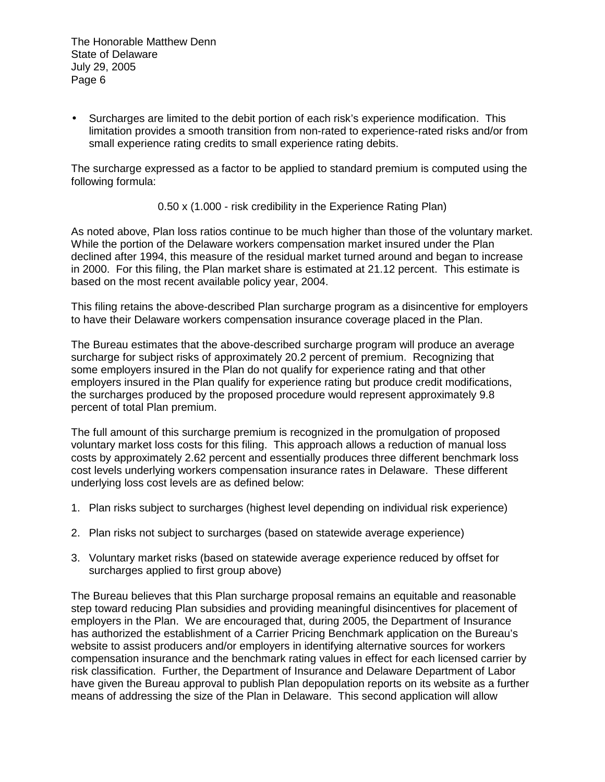• Surcharges are limited to the debit portion of each risk's experience modification. This limitation provides a smooth transition from non-rated to experience-rated risks and/or from small experience rating credits to small experience rating debits.

The surcharge expressed as a factor to be applied to standard premium is computed using the following formula:

0.50 x (1.000 - risk credibility in the Experience Rating Plan)

As noted above, Plan loss ratios continue to be much higher than those of the voluntary market. While the portion of the Delaware workers compensation market insured under the Plan declined after 1994, this measure of the residual market turned around and began to increase in 2000. For this filing, the Plan market share is estimated at 21.12 percent. This estimate is based on the most recent available policy year, 2004.

This filing retains the above-described Plan surcharge program as a disincentive for employers to have their Delaware workers compensation insurance coverage placed in the Plan.

The Bureau estimates that the above-described surcharge program will produce an average surcharge for subject risks of approximately 20.2 percent of premium. Recognizing that some employers insured in the Plan do not qualify for experience rating and that other employers insured in the Plan qualify for experience rating but produce credit modifications, the surcharges produced by the proposed procedure would represent approximately 9.8 percent of total Plan premium.

The full amount of this surcharge premium is recognized in the promulgation of proposed voluntary market loss costs for this filing. This approach allows a reduction of manual loss costs by approximately 2.62 percent and essentially produces three different benchmark loss cost levels underlying workers compensation insurance rates in Delaware. These different underlying loss cost levels are as defined below:

- 1. Plan risks subject to surcharges (highest level depending on individual risk experience)
- 2. Plan risks not subject to surcharges (based on statewide average experience)
- 3. Voluntary market risks (based on statewide average experience reduced by offset for surcharges applied to first group above)

The Bureau believes that this Plan surcharge proposal remains an equitable and reasonable step toward reducing Plan subsidies and providing meaningful disincentives for placement of employers in the Plan. We are encouraged that, during 2005, the Department of Insurance has authorized the establishment of a Carrier Pricing Benchmark application on the Bureau's website to assist producers and/or employers in identifying alternative sources for workers compensation insurance and the benchmark rating values in effect for each licensed carrier by risk classification. Further, the Department of Insurance and Delaware Department of Labor have given the Bureau approval to publish Plan depopulation reports on its website as a further means of addressing the size of the Plan in Delaware. This second application will allow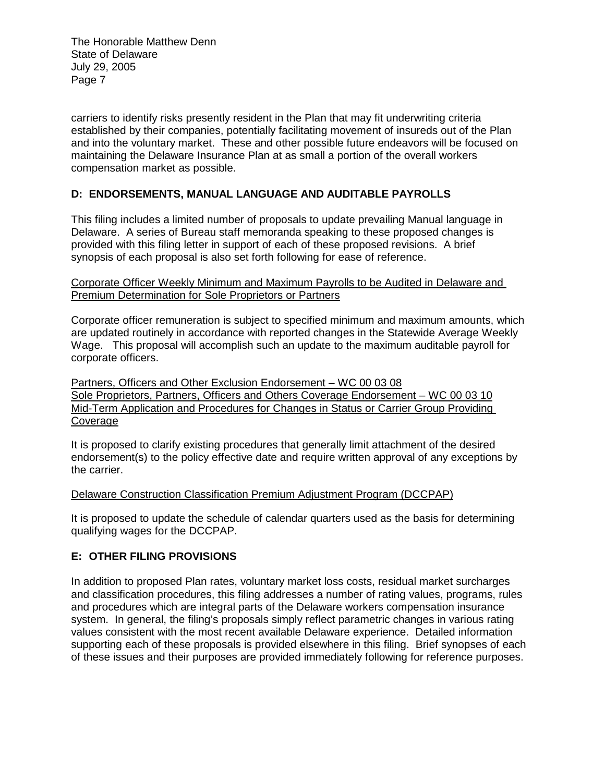carriers to identify risks presently resident in the Plan that may fit underwriting criteria established by their companies, potentially facilitating movement of insureds out of the Plan and into the voluntary market. These and other possible future endeavors will be focused on maintaining the Delaware Insurance Plan at as small a portion of the overall workers compensation market as possible.

## **D: ENDORSEMENTS, MANUAL LANGUAGE AND AUDITABLE PAYROLLS**

This filing includes a limited number of proposals to update prevailing Manual language in Delaware. A series of Bureau staff memoranda speaking to these proposed changes is provided with this filing letter in support of each of these proposed revisions. A brief synopsis of each proposal is also set forth following for ease of reference.

### Corporate Officer Weekly Minimum and Maximum Payrolls to be Audited in Delaware and Premium Determination for Sole Proprietors or Partners

Corporate officer remuneration is subject to specified minimum and maximum amounts, which are updated routinely in accordance with reported changes in the Statewide Average Weekly Wage. This proposal will accomplish such an update to the maximum auditable payroll for corporate officers.

Partners, Officers and Other Exclusion Endorsement – WC 00 03 08 Sole Proprietors, Partners, Officers and Others Coverage Endorsement – WC 00 03 10 Mid-Term Application and Procedures for Changes in Status or Carrier Group Providing Coverage

It is proposed to clarify existing procedures that generally limit attachment of the desired endorsement(s) to the policy effective date and require written approval of any exceptions by the carrier.

### Delaware Construction Classification Premium Adjustment Program (DCCPAP)

It is proposed to update the schedule of calendar quarters used as the basis for determining qualifying wages for the DCCPAP.

### **E: OTHER FILING PROVISIONS**

In addition to proposed Plan rates, voluntary market loss costs, residual market surcharges and classification procedures, this filing addresses a number of rating values, programs, rules and procedures which are integral parts of the Delaware workers compensation insurance system. In general, the filing's proposals simply reflect parametric changes in various rating values consistent with the most recent available Delaware experience. Detailed information supporting each of these proposals is provided elsewhere in this filing. Brief synopses of each of these issues and their purposes are provided immediately following for reference purposes.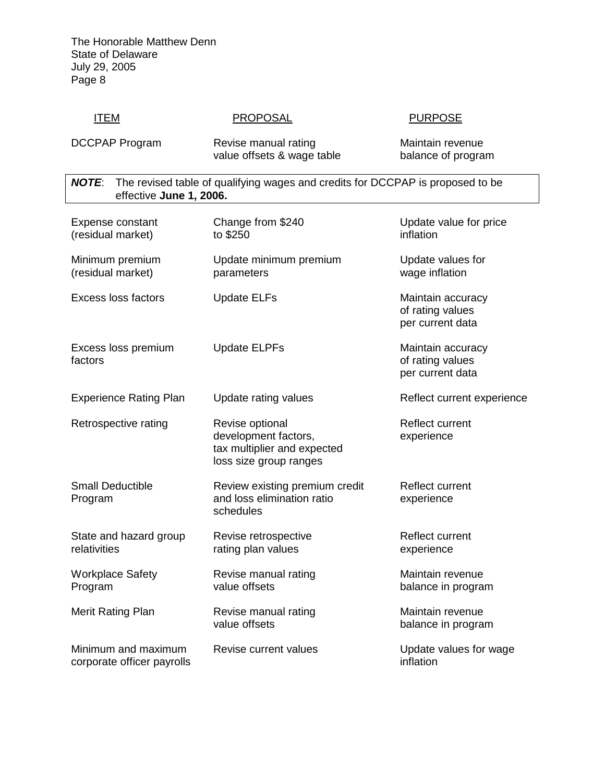## ITEM PROPOSAL PROPOSAL PURPOSE

DCCPAP Program Revise manual rating Maintain revenue<br>value offsets & wage table balance of program value offsets & wage table

*NOTE*: The revised table of qualifying wages and credits for DCCPAP is proposed to be effective **June 1, 2006.**

| Expense constant<br>(residual market)             | Change from \$240<br>to \$250                                                                    | Update value for price<br>inflation                       |
|---------------------------------------------------|--------------------------------------------------------------------------------------------------|-----------------------------------------------------------|
| Minimum premium<br>(residual market)              | Update minimum premium<br>parameters                                                             | Update values for<br>wage inflation                       |
| <b>Excess loss factors</b>                        | <b>Update ELFs</b>                                                                               | Maintain accuracy<br>of rating values<br>per current data |
| Excess loss premium<br>factors                    | <b>Update ELPFs</b>                                                                              | Maintain accuracy<br>of rating values<br>per current data |
| <b>Experience Rating Plan</b>                     | Update rating values                                                                             | Reflect current experience                                |
| Retrospective rating                              | Revise optional<br>development factors,<br>tax multiplier and expected<br>loss size group ranges | <b>Reflect current</b><br>experience                      |
| <b>Small Deductible</b><br>Program                | Review existing premium credit<br>and loss elimination ratio<br>schedules                        | Reflect current<br>experience                             |
| State and hazard group<br>relativities            | Revise retrospective<br>rating plan values                                                       | <b>Reflect current</b><br>experience                      |
| <b>Workplace Safety</b><br>Program                | Revise manual rating<br>value offsets                                                            | Maintain revenue<br>balance in program                    |
| Merit Rating Plan                                 | Revise manual rating<br>value offsets                                                            | Maintain revenue<br>balance in program                    |
| Minimum and maximum<br>corporate officer payrolls | Revise current values                                                                            | Update values for wage<br>inflation                       |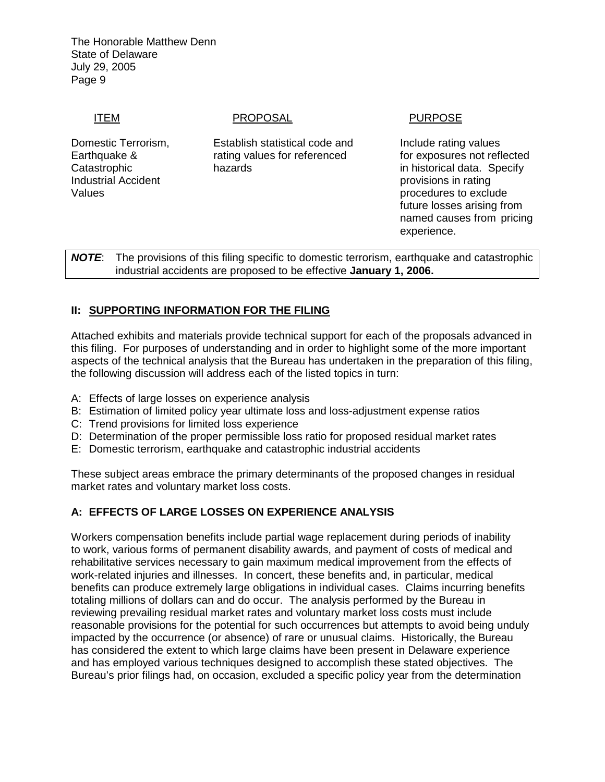ITEM PROPOSAL PROPOSAL PURPOSE

Industrial Accident provisions in rating

Domestic Terrorism, Establish statistical code and Include rating values Earthquake & rating values for referenced for exposures not reflected Catastrophic hazards in historical data. Specify

Values **below** procedures to exclude values **procedures** to exclude future losses arising from named causes from pricing experience.

*NOTE*: The provisions of this filing specific to domestic terrorism, earthquake and catastrophic industrial accidents are proposed to be effective **January 1, 2006.**

## **II: SUPPORTING INFORMATION FOR THE FILING**

Attached exhibits and materials provide technical support for each of the proposals advanced in this filing. For purposes of understanding and in order to highlight some of the more important aspects of the technical analysis that the Bureau has undertaken in the preparation of this filing, the following discussion will address each of the listed topics in turn:

- A: Effects of large losses on experience analysis
- B: Estimation of limited policy year ultimate loss and loss-adjustment expense ratios
- C: Trend provisions for limited loss experience
- D: Determination of the proper permissible loss ratio for proposed residual market rates
- E: Domestic terrorism, earthquake and catastrophic industrial accidents

These subject areas embrace the primary determinants of the proposed changes in residual market rates and voluntary market loss costs.

### **A: EFFECTS OF LARGE LOSSES ON EXPERIENCE ANALYSIS**

Workers compensation benefits include partial wage replacement during periods of inability to work, various forms of permanent disability awards, and payment of costs of medical and rehabilitative services necessary to gain maximum medical improvement from the effects of work-related injuries and illnesses. In concert, these benefits and, in particular, medical benefits can produce extremely large obligations in individual cases. Claims incurring benefits totaling millions of dollars can and do occur. The analysis performed by the Bureau in reviewing prevailing residual market rates and voluntary market loss costs must include reasonable provisions for the potential for such occurrences but attempts to avoid being unduly impacted by the occurrence (or absence) of rare or unusual claims. Historically, the Bureau has considered the extent to which large claims have been present in Delaware experience and has employed various techniques designed to accomplish these stated objectives. The Bureau's prior filings had, on occasion, excluded a specific policy year from the determination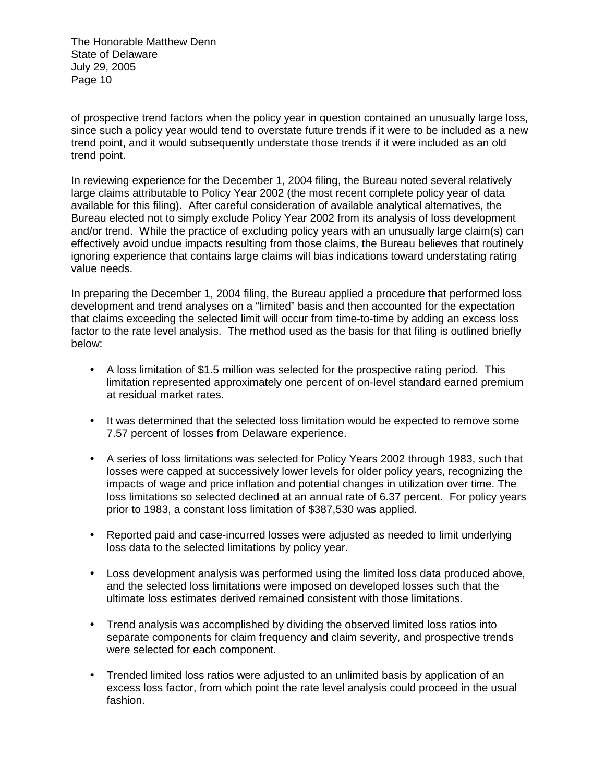of prospective trend factors when the policy year in question contained an unusually large loss, since such a policy year would tend to overstate future trends if it were to be included as a new trend point, and it would subsequently understate those trends if it were included as an old trend point.

In reviewing experience for the December 1, 2004 filing, the Bureau noted several relatively large claims attributable to Policy Year 2002 (the most recent complete policy year of data available for this filing). After careful consideration of available analytical alternatives, the Bureau elected not to simply exclude Policy Year 2002 from its analysis of loss development and/or trend. While the practice of excluding policy years with an unusually large claim(s) can effectively avoid undue impacts resulting from those claims, the Bureau believes that routinely ignoring experience that contains large claims will bias indications toward understating rating value needs.

In preparing the December 1, 2004 filing, the Bureau applied a procedure that performed loss development and trend analyses on a "limited" basis and then accounted for the expectation that claims exceeding the selected limit will occur from time-to-time by adding an excess loss factor to the rate level analysis. The method used as the basis for that filing is outlined briefly below:

- A loss limitation of \$1.5 million was selected for the prospective rating period. This limitation represented approximately one percent of on-level standard earned premium at residual market rates.
- It was determined that the selected loss limitation would be expected to remove some 7.57 percent of losses from Delaware experience.
- A series of loss limitations was selected for Policy Years 2002 through 1983, such that losses were capped at successively lower levels for older policy years, recognizing the impacts of wage and price inflation and potential changes in utilization over time. The loss limitations so selected declined at an annual rate of 6.37 percent. For policy years prior to 1983, a constant loss limitation of \$387,530 was applied.
- Reported paid and case-incurred losses were adjusted as needed to limit underlying loss data to the selected limitations by policy year.
- Loss development analysis was performed using the limited loss data produced above, and the selected loss limitations were imposed on developed losses such that the ultimate loss estimates derived remained consistent with those limitations.
- Trend analysis was accomplished by dividing the observed limited loss ratios into separate components for claim frequency and claim severity, and prospective trends were selected for each component.
- Trended limited loss ratios were adjusted to an unlimited basis by application of an excess loss factor, from which point the rate level analysis could proceed in the usual fashion.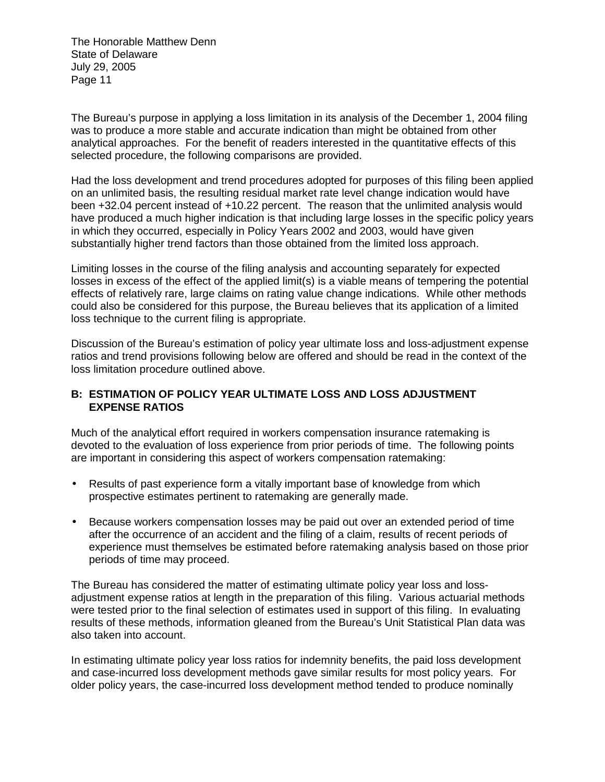The Bureau's purpose in applying a loss limitation in its analysis of the December 1, 2004 filing was to produce a more stable and accurate indication than might be obtained from other analytical approaches. For the benefit of readers interested in the quantitative effects of this selected procedure, the following comparisons are provided.

Had the loss development and trend procedures adopted for purposes of this filing been applied on an unlimited basis, the resulting residual market rate level change indication would have been +32.04 percent instead of +10.22 percent. The reason that the unlimited analysis would have produced a much higher indication is that including large losses in the specific policy years in which they occurred, especially in Policy Years 2002 and 2003, would have given substantially higher trend factors than those obtained from the limited loss approach.

Limiting losses in the course of the filing analysis and accounting separately for expected losses in excess of the effect of the applied limit(s) is a viable means of tempering the potential effects of relatively rare, large claims on rating value change indications. While other methods could also be considered for this purpose, the Bureau believes that its application of a limited loss technique to the current filing is appropriate.

Discussion of the Bureau's estimation of policy year ultimate loss and loss-adjustment expense ratios and trend provisions following below are offered and should be read in the context of the loss limitation procedure outlined above.

### **B: ESTIMATION OF POLICY YEAR ULTIMATE LOSS AND LOSS ADJUSTMENT EXPENSE RATIOS**

Much of the analytical effort required in workers compensation insurance ratemaking is devoted to the evaluation of loss experience from prior periods of time. The following points are important in considering this aspect of workers compensation ratemaking:

- Results of past experience form a vitally important base of knowledge from which prospective estimates pertinent to ratemaking are generally made.
- Because workers compensation losses may be paid out over an extended period of time after the occurrence of an accident and the filing of a claim, results of recent periods of experience must themselves be estimated before ratemaking analysis based on those prior periods of time may proceed.

The Bureau has considered the matter of estimating ultimate policy year loss and lossadjustment expense ratios at length in the preparation of this filing. Various actuarial methods were tested prior to the final selection of estimates used in support of this filing. In evaluating results of these methods, information gleaned from the Bureau's Unit Statistical Plan data was also taken into account.

In estimating ultimate policy year loss ratios for indemnity benefits, the paid loss development and case-incurred loss development methods gave similar results for most policy years. For older policy years, the case-incurred loss development method tended to produce nominally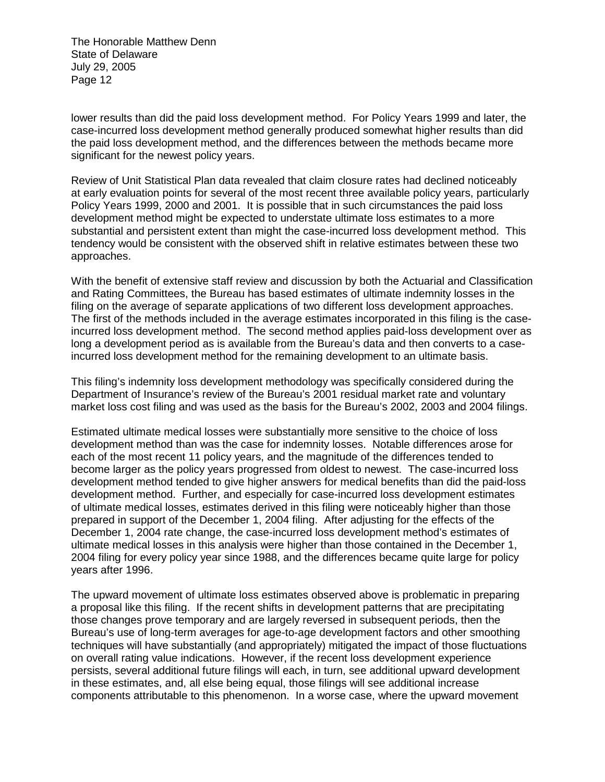lower results than did the paid loss development method. For Policy Years 1999 and later, the case-incurred loss development method generally produced somewhat higher results than did the paid loss development method, and the differences between the methods became more significant for the newest policy years.

Review of Unit Statistical Plan data revealed that claim closure rates had declined noticeably at early evaluation points for several of the most recent three available policy years, particularly Policy Years 1999, 2000 and 2001. It is possible that in such circumstances the paid loss development method might be expected to understate ultimate loss estimates to a more substantial and persistent extent than might the case-incurred loss development method. This tendency would be consistent with the observed shift in relative estimates between these two approaches.

With the benefit of extensive staff review and discussion by both the Actuarial and Classification and Rating Committees, the Bureau has based estimates of ultimate indemnity losses in the filing on the average of separate applications of two different loss development approaches. The first of the methods included in the average estimates incorporated in this filing is the caseincurred loss development method. The second method applies paid-loss development over as long a development period as is available from the Bureau's data and then converts to a caseincurred loss development method for the remaining development to an ultimate basis.

This filing's indemnity loss development methodology was specifically considered during the Department of Insurance's review of the Bureau's 2001 residual market rate and voluntary market loss cost filing and was used as the basis for the Bureau's 2002, 2003 and 2004 filings.

Estimated ultimate medical losses were substantially more sensitive to the choice of loss development method than was the case for indemnity losses. Notable differences arose for each of the most recent 11 policy years, and the magnitude of the differences tended to become larger as the policy years progressed from oldest to newest. The case-incurred loss development method tended to give higher answers for medical benefits than did the paid-loss development method. Further, and especially for case-incurred loss development estimates of ultimate medical losses, estimates derived in this filing were noticeably higher than those prepared in support of the December 1, 2004 filing. After adjusting for the effects of the December 1, 2004 rate change, the case-incurred loss development method's estimates of ultimate medical losses in this analysis were higher than those contained in the December 1, 2004 filing for every policy year since 1988, and the differences became quite large for policy years after 1996.

The upward movement of ultimate loss estimates observed above is problematic in preparing a proposal like this filing. If the recent shifts in development patterns that are precipitating those changes prove temporary and are largely reversed in subsequent periods, then the Bureau's use of long-term averages for age-to-age development factors and other smoothing techniques will have substantially (and appropriately) mitigated the impact of those fluctuations on overall rating value indications. However, if the recent loss development experience persists, several additional future filings will each, in turn, see additional upward development in these estimates, and, all else being equal, those filings will see additional increase components attributable to this phenomenon. In a worse case, where the upward movement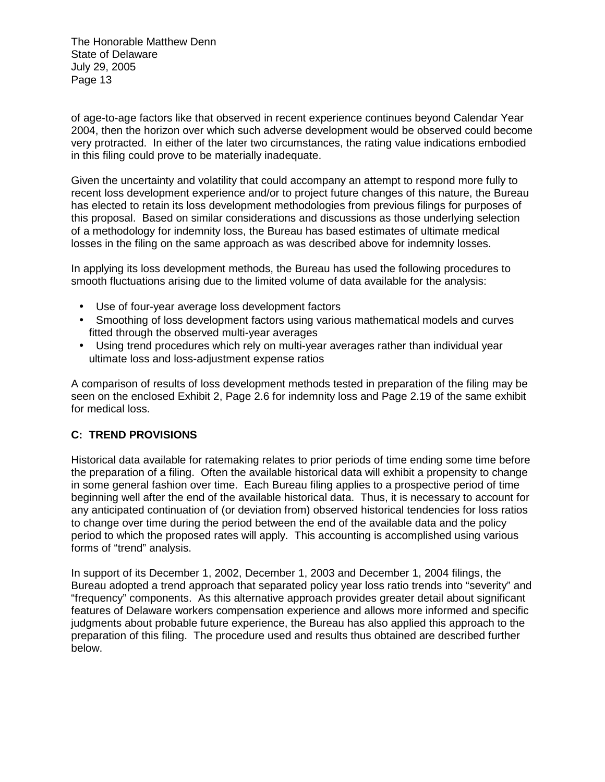of age-to-age factors like that observed in recent experience continues beyond Calendar Year 2004, then the horizon over which such adverse development would be observed could become very protracted. In either of the later two circumstances, the rating value indications embodied in this filing could prove to be materially inadequate.

Given the uncertainty and volatility that could accompany an attempt to respond more fully to recent loss development experience and/or to project future changes of this nature, the Bureau has elected to retain its loss development methodologies from previous filings for purposes of this proposal. Based on similar considerations and discussions as those underlying selection of a methodology for indemnity loss, the Bureau has based estimates of ultimate medical losses in the filing on the same approach as was described above for indemnity losses.

In applying its loss development methods, the Bureau has used the following procedures to smooth fluctuations arising due to the limited volume of data available for the analysis:

- Use of four-year average loss development factors
- Smoothing of loss development factors using various mathematical models and curves fitted through the observed multi-year averages
- Using trend procedures which rely on multi-year averages rather than individual year ultimate loss and loss-adjustment expense ratios

A comparison of results of loss development methods tested in preparation of the filing may be seen on the enclosed Exhibit 2, Page 2.6 for indemnity loss and Page 2.19 of the same exhibit for medical loss.

## **C: TREND PROVISIONS**

Historical data available for ratemaking relates to prior periods of time ending some time before the preparation of a filing. Often the available historical data will exhibit a propensity to change in some general fashion over time. Each Bureau filing applies to a prospective period of time beginning well after the end of the available historical data. Thus, it is necessary to account for any anticipated continuation of (or deviation from) observed historical tendencies for loss ratios to change over time during the period between the end of the available data and the policy period to which the proposed rates will apply. This accounting is accomplished using various forms of "trend" analysis.

In support of its December 1, 2002, December 1, 2003 and December 1, 2004 filings, the Bureau adopted a trend approach that separated policy year loss ratio trends into "severity" and "frequency" components. As this alternative approach provides greater detail about significant features of Delaware workers compensation experience and allows more informed and specific judgments about probable future experience, the Bureau has also applied this approach to the preparation of this filing. The procedure used and results thus obtained are described further below.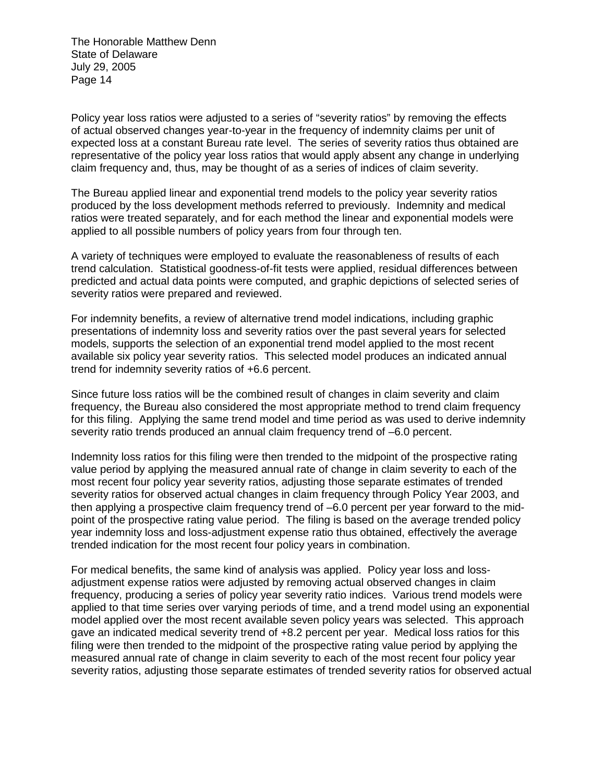Policy year loss ratios were adjusted to a series of "severity ratios" by removing the effects of actual observed changes year-to-year in the frequency of indemnity claims per unit of expected loss at a constant Bureau rate level. The series of severity ratios thus obtained are representative of the policy year loss ratios that would apply absent any change in underlying claim frequency and, thus, may be thought of as a series of indices of claim severity.

The Bureau applied linear and exponential trend models to the policy year severity ratios produced by the loss development methods referred to previously. Indemnity and medical ratios were treated separately, and for each method the linear and exponential models were applied to all possible numbers of policy years from four through ten.

A variety of techniques were employed to evaluate the reasonableness of results of each trend calculation. Statistical goodness-of-fit tests were applied, residual differences between predicted and actual data points were computed, and graphic depictions of selected series of severity ratios were prepared and reviewed.

For indemnity benefits, a review of alternative trend model indications, including graphic presentations of indemnity loss and severity ratios over the past several years for selected models, supports the selection of an exponential trend model applied to the most recent available six policy year severity ratios. This selected model produces an indicated annual trend for indemnity severity ratios of +6.6 percent.

Since future loss ratios will be the combined result of changes in claim severity and claim frequency, the Bureau also considered the most appropriate method to trend claim frequency for this filing. Applying the same trend model and time period as was used to derive indemnity severity ratio trends produced an annual claim frequency trend of –6.0 percent.

Indemnity loss ratios for this filing were then trended to the midpoint of the prospective rating value period by applying the measured annual rate of change in claim severity to each of the most recent four policy year severity ratios, adjusting those separate estimates of trended severity ratios for observed actual changes in claim frequency through Policy Year 2003, and then applying a prospective claim frequency trend of –6.0 percent per year forward to the midpoint of the prospective rating value period. The filing is based on the average trended policy year indemnity loss and loss-adjustment expense ratio thus obtained, effectively the average trended indication for the most recent four policy years in combination.

For medical benefits, the same kind of analysis was applied. Policy year loss and lossadjustment expense ratios were adjusted by removing actual observed changes in claim frequency, producing a series of policy year severity ratio indices. Various trend models were applied to that time series over varying periods of time, and a trend model using an exponential model applied over the most recent available seven policy years was selected. This approach gave an indicated medical severity trend of +8.2 percent per year. Medical loss ratios for this filing were then trended to the midpoint of the prospective rating value period by applying the measured annual rate of change in claim severity to each of the most recent four policy year severity ratios, adjusting those separate estimates of trended severity ratios for observed actual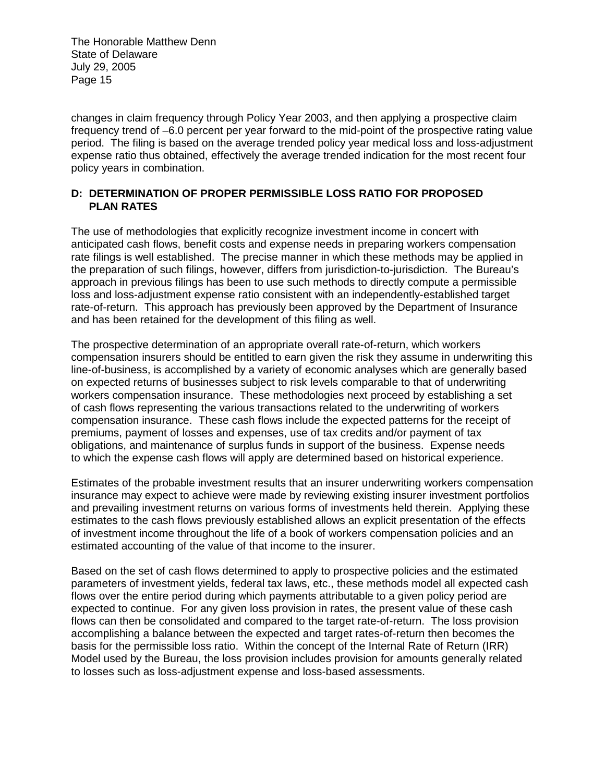changes in claim frequency through Policy Year 2003, and then applying a prospective claim frequency trend of –6.0 percent per year forward to the mid-point of the prospective rating value period. The filing is based on the average trended policy year medical loss and loss-adjustment expense ratio thus obtained, effectively the average trended indication for the most recent four policy years in combination.

## **D: DETERMINATION OF PROPER PERMISSIBLE LOSS RATIO FOR PROPOSED PLAN RATES**

The use of methodologies that explicitly recognize investment income in concert with anticipated cash flows, benefit costs and expense needs in preparing workers compensation rate filings is well established. The precise manner in which these methods may be applied in the preparation of such filings, however, differs from jurisdiction-to-jurisdiction. The Bureau's approach in previous filings has been to use such methods to directly compute a permissible loss and loss-adjustment expense ratio consistent with an independently-established target rate-of-return. This approach has previously been approved by the Department of Insurance and has been retained for the development of this filing as well.

The prospective determination of an appropriate overall rate-of-return, which workers compensation insurers should be entitled to earn given the risk they assume in underwriting this line-of-business, is accomplished by a variety of economic analyses which are generally based on expected returns of businesses subject to risk levels comparable to that of underwriting workers compensation insurance. These methodologies next proceed by establishing a set of cash flows representing the various transactions related to the underwriting of workers compensation insurance. These cash flows include the expected patterns for the receipt of premiums, payment of losses and expenses, use of tax credits and/or payment of tax obligations, and maintenance of surplus funds in support of the business. Expense needs to which the expense cash flows will apply are determined based on historical experience.

Estimates of the probable investment results that an insurer underwriting workers compensation insurance may expect to achieve were made by reviewing existing insurer investment portfolios and prevailing investment returns on various forms of investments held therein. Applying these estimates to the cash flows previously established allows an explicit presentation of the effects of investment income throughout the life of a book of workers compensation policies and an estimated accounting of the value of that income to the insurer.

Based on the set of cash flows determined to apply to prospective policies and the estimated parameters of investment yields, federal tax laws, etc., these methods model all expected cash flows over the entire period during which payments attributable to a given policy period are expected to continue. For any given loss provision in rates, the present value of these cash flows can then be consolidated and compared to the target rate-of-return. The loss provision accomplishing a balance between the expected and target rates-of-return then becomes the basis for the permissible loss ratio. Within the concept of the Internal Rate of Return (IRR) Model used by the Bureau, the loss provision includes provision for amounts generally related to losses such as loss-adjustment expense and loss-based assessments.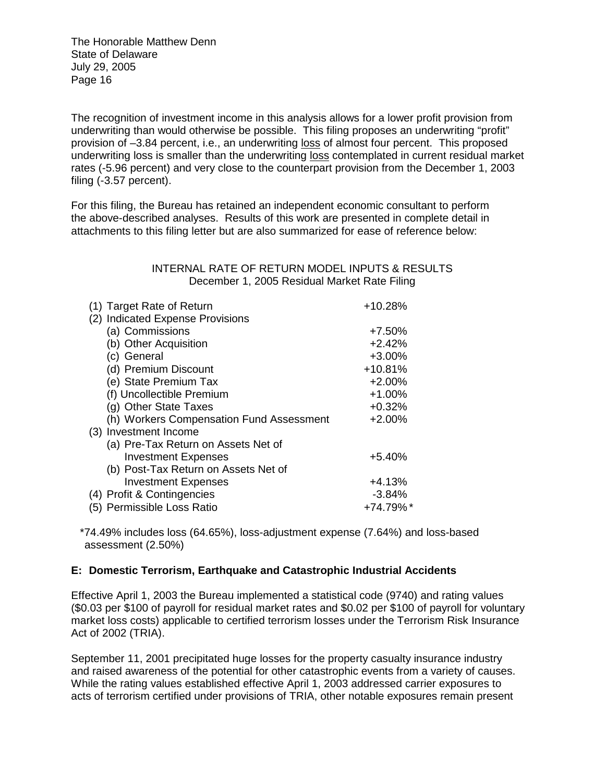The recognition of investment income in this analysis allows for a lower profit provision from underwriting than would otherwise be possible. This filing proposes an underwriting "profit" provision of –3.84 percent, i.e., an underwriting loss of almost four percent. This proposed underwriting loss is smaller than the underwriting loss contemplated in current residual market rates (-5.96 percent) and very close to the counterpart provision from the December 1, 2003 filing (-3.57 percent).

For this filing, the Bureau has retained an independent economic consultant to perform the above-described analyses. Results of this work are presented in complete detail in attachments to this filing letter but are also summarized for ease of reference below:

### INTERNAL RATE OF RETURN MODEL INPUTS & RESULTS December 1, 2005 Residual Market Rate Filing

| (1) Target Rate of Return                | +10.28%   |
|------------------------------------------|-----------|
| (2) Indicated Expense Provisions         |           |
| (a) Commissions                          | $+7.50%$  |
| (b) Other Acquisition                    | $+2.42%$  |
| (c) General                              | $+3.00%$  |
| (d) Premium Discount                     | $+10.81%$ |
| (e) State Premium Tax                    | $+2.00%$  |
| (f) Uncollectible Premium                | $+1.00%$  |
| (g) Other State Taxes                    | $+0.32%$  |
| (h) Workers Compensation Fund Assessment | $+2.00%$  |
| (3) Investment Income                    |           |
| (a) Pre-Tax Return on Assets Net of      |           |
| <b>Investment Expenses</b>               | $+5.40%$  |
| (b) Post-Tax Return on Assets Net of     |           |
| <b>Investment Expenses</b>               | $+4.13%$  |
| (4) Profit & Contingencies               | $-3.84%$  |
| (5) Permissible Loss Ratio               | +74.79%*  |

 \*74.49% includes loss (64.65%), loss-adjustment expense (7.64%) and loss-based assessment (2.50%)

### **E: Domestic Terrorism, Earthquake and Catastrophic Industrial Accidents**

Effective April 1, 2003 the Bureau implemented a statistical code (9740) and rating values (\$0.03 per \$100 of payroll for residual market rates and \$0.02 per \$100 of payroll for voluntary market loss costs) applicable to certified terrorism losses under the Terrorism Risk Insurance Act of 2002 (TRIA).

September 11, 2001 precipitated huge losses for the property casualty insurance industry and raised awareness of the potential for other catastrophic events from a variety of causes. While the rating values established effective April 1, 2003 addressed carrier exposures to acts of terrorism certified under provisions of TRIA, other notable exposures remain present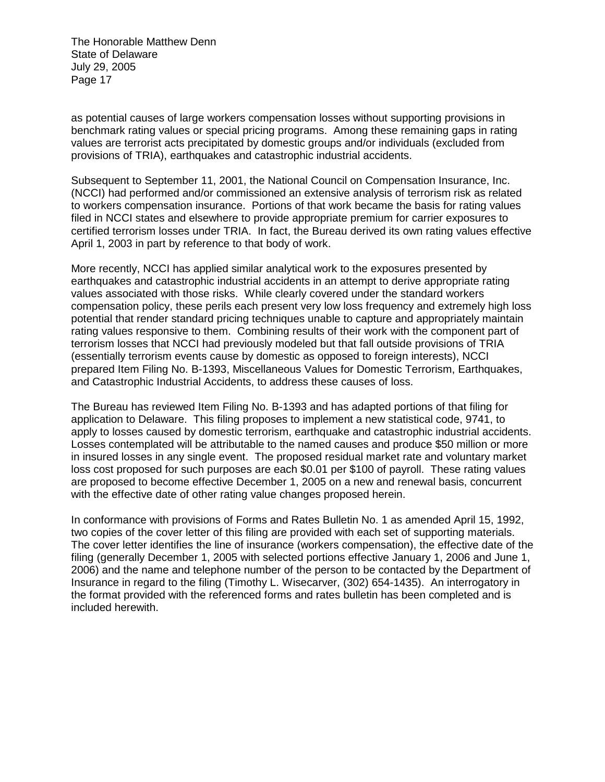as potential causes of large workers compensation losses without supporting provisions in benchmark rating values or special pricing programs. Among these remaining gaps in rating values are terrorist acts precipitated by domestic groups and/or individuals (excluded from provisions of TRIA), earthquakes and catastrophic industrial accidents.

Subsequent to September 11, 2001, the National Council on Compensation Insurance, Inc. (NCCI) had performed and/or commissioned an extensive analysis of terrorism risk as related to workers compensation insurance. Portions of that work became the basis for rating values filed in NCCI states and elsewhere to provide appropriate premium for carrier exposures to certified terrorism losses under TRIA. In fact, the Bureau derived its own rating values effective April 1, 2003 in part by reference to that body of work.

More recently, NCCI has applied similar analytical work to the exposures presented by earthquakes and catastrophic industrial accidents in an attempt to derive appropriate rating values associated with those risks. While clearly covered under the standard workers compensation policy, these perils each present very low loss frequency and extremely high loss potential that render standard pricing techniques unable to capture and appropriately maintain rating values responsive to them. Combining results of their work with the component part of terrorism losses that NCCI had previously modeled but that fall outside provisions of TRIA (essentially terrorism events cause by domestic as opposed to foreign interests), NCCI prepared Item Filing No. B-1393, Miscellaneous Values for Domestic Terrorism, Earthquakes, and Catastrophic Industrial Accidents, to address these causes of loss.

The Bureau has reviewed Item Filing No. B-1393 and has adapted portions of that filing for application to Delaware. This filing proposes to implement a new statistical code, 9741, to apply to losses caused by domestic terrorism, earthquake and catastrophic industrial accidents. Losses contemplated will be attributable to the named causes and produce \$50 million or more in insured losses in any single event. The proposed residual market rate and voluntary market loss cost proposed for such purposes are each \$0.01 per \$100 of payroll. These rating values are proposed to become effective December 1, 2005 on a new and renewal basis, concurrent with the effective date of other rating value changes proposed herein.

In conformance with provisions of Forms and Rates Bulletin No. 1 as amended April 15, 1992, two copies of the cover letter of this filing are provided with each set of supporting materials. The cover letter identifies the line of insurance (workers compensation), the effective date of the filing (generally December 1, 2005 with selected portions effective January 1, 2006 and June 1, 2006) and the name and telephone number of the person to be contacted by the Department of Insurance in regard to the filing (Timothy L. Wisecarver, (302) 654-1435). An interrogatory in the format provided with the referenced forms and rates bulletin has been completed and is included herewith.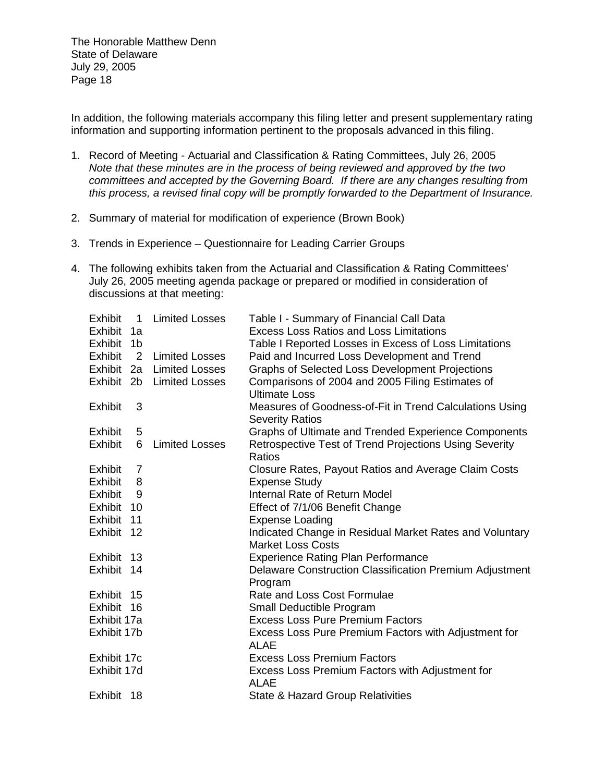In addition, the following materials accompany this filing letter and present supplementary rating information and supporting information pertinent to the proposals advanced in this filing.

- 1. Record of Meeting Actuarial and Classification & Rating Committees, July 26, 2005 *Note that these minutes are in the process of being reviewed and approved by the two committees and accepted by the Governing Board. If there are any changes resulting from this process, a revised final copy will be promptly forwarded to the Department of Insurance.*
- 2. Summary of material for modification of experience (Brown Book)
- 3. Trends in Experience Questionnaire for Leading Carrier Groups
- 4. The following exhibits taken from the Actuarial and Classification & Rating Committees' July 26, 2005 meeting agenda package or prepared or modified in consideration of discussions at that meeting:

| <b>Exhibit</b> | $\overline{1}$ | <b>Limited Losses</b>     | Table I - Summary of Financial Call Data                |
|----------------|----------------|---------------------------|---------------------------------------------------------|
| Exhibit 1a     |                |                           | <b>Excess Loss Ratios and Loss Limitations</b>          |
| Exhibit 1b     |                |                           | Table I Reported Losses in Excess of Loss Limitations   |
| Exhibit        | $\overline{2}$ | <b>Limited Losses</b>     | Paid and Incurred Loss Development and Trend            |
|                |                | Exhibit 2a Limited Losses | Graphs of Selected Loss Development Projections         |
|                |                | Exhibit 2b Limited Losses | Comparisons of 2004 and 2005 Filing Estimates of        |
|                |                |                           | <b>Ultimate Loss</b>                                    |
| Exhibit        | 3              |                           | Measures of Goodness-of-Fit in Trend Calculations Using |
|                |                |                           | <b>Severity Ratios</b>                                  |
| Exhibit        | 5              |                           | Graphs of Ultimate and Trended Experience Components    |
| Exhibit        | 6              | <b>Limited Losses</b>     | Retrospective Test of Trend Projections Using Severity  |
|                |                |                           | Ratios                                                  |
| Exhibit 7      |                |                           | Closure Rates, Payout Ratios and Average Claim Costs    |
| Exhibit        | 8              |                           | <b>Expense Study</b>                                    |
| Exhibit        | 9              |                           | Internal Rate of Return Model                           |
| Exhibit 10     |                |                           | Effect of 7/1/06 Benefit Change                         |
| Exhibit 11     |                |                           | <b>Expense Loading</b>                                  |
| Exhibit 12     |                |                           | Indicated Change in Residual Market Rates and Voluntary |
|                |                |                           | <b>Market Loss Costs</b>                                |
| Exhibit 13     |                |                           | <b>Experience Rating Plan Performance</b>               |
| Exhibit 14     |                |                           | Delaware Construction Classification Premium Adjustment |
|                |                |                           | Program                                                 |
| Exhibit 15     |                |                           | Rate and Loss Cost Formulae                             |
| Exhibit 16     |                |                           | Small Deductible Program                                |
| Exhibit 17a    |                |                           | <b>Excess Loss Pure Premium Factors</b>                 |
| Exhibit 17b    |                |                           | Excess Loss Pure Premium Factors with Adjustment for    |
|                |                |                           | ALAE                                                    |
| Exhibit 17c    |                |                           | <b>Excess Loss Premium Factors</b>                      |
| Exhibit 17d    |                |                           | Excess Loss Premium Factors with Adjustment for         |
|                |                |                           | <b>ALAE</b>                                             |
| Exhibit 18     |                |                           | State & Hazard Group Relativities                       |
|                |                |                           |                                                         |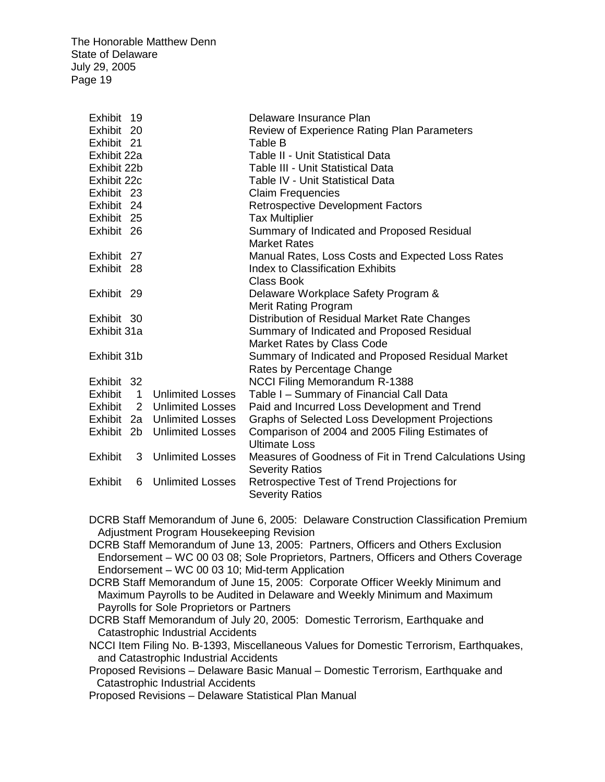| Exhibit 19     |                             | Delaware Insurance Plan                                 |
|----------------|-----------------------------|---------------------------------------------------------|
| Exhibit 20     |                             | Review of Experience Rating Plan Parameters             |
| Exhibit 21     |                             | Table B                                                 |
| Exhibit 22a    |                             | Table II - Unit Statistical Data                        |
| Exhibit 22b    |                             | <b>Table III - Unit Statistical Data</b>                |
| Exhibit 22c    |                             | Table IV - Unit Statistical Data                        |
| Exhibit 23     |                             | <b>Claim Frequencies</b>                                |
| Exhibit 24     |                             | <b>Retrospective Development Factors</b>                |
| Exhibit 25     |                             | <b>Tax Multiplier</b>                                   |
| Exhibit 26     |                             | Summary of Indicated and Proposed Residual              |
|                |                             | <b>Market Rates</b>                                     |
| Exhibit 27     |                             | Manual Rates, Loss Costs and Expected Loss Rates        |
| Exhibit 28     |                             | <b>Index to Classification Exhibits</b>                 |
|                |                             | <b>Class Book</b>                                       |
| Exhibit 29     |                             | Delaware Workplace Safety Program &                     |
|                |                             | Merit Rating Program                                    |
| Exhibit 30     |                             | Distribution of Residual Market Rate Changes            |
| Exhibit 31a    |                             | Summary of Indicated and Proposed Residual              |
|                |                             | Market Rates by Class Code                              |
| Exhibit 31b    |                             | Summary of Indicated and Proposed Residual Market       |
|                |                             | Rates by Percentage Change                              |
| Exhibit 32     |                             | <b>NCCI Filing Memorandum R-1388</b>                    |
|                | Exhibit 1 Unlimited Losses  | Table I - Summary of Financial Call Data                |
| Exhibit        | 2 Unlimited Losses          | Paid and Incurred Loss Development and Trend            |
|                | Exhibit 2a Unlimited Losses | Graphs of Selected Loss Development Projections         |
|                | Exhibit 2b Unlimited Losses | Comparison of 2004 and 2005 Filing Estimates of         |
|                |                             | <b>Ultimate Loss</b>                                    |
| Exhibit        | 3 Unlimited Losses          | Measures of Goodness of Fit in Trend Calculations Using |
|                |                             | <b>Severity Ratios</b>                                  |
| <b>Exhibit</b> | 6 Unlimited Losses          | Retrospective Test of Trend Projections for             |
|                |                             | <b>Severity Ratios</b>                                  |

DCRB Staff Memorandum of June 6, 2005: Delaware Construction Classification Premium Adjustment Program Housekeeping Revision

DCRB Staff Memorandum of June 13, 2005: Partners, Officers and Others Exclusion Endorsement – WC 00 03 08; Sole Proprietors, Partners, Officers and Others Coverage Endorsement – WC 00 03 10; Mid-term Application

 DCRB Staff Memorandum of June 15, 2005: Corporate Officer Weekly Minimum and Maximum Payrolls to be Audited in Delaware and Weekly Minimum and Maximum Payrolls for Sole Proprietors or Partners

DCRB Staff Memorandum of July 20, 2005: Domestic Terrorism, Earthquake and Catastrophic Industrial Accidents

 NCCI Item Filing No. B-1393, Miscellaneous Values for Domestic Terrorism, Earthquakes, and Catastrophic Industrial Accidents

 Proposed Revisions – Delaware Basic Manual – Domestic Terrorism, Earthquake and Catastrophic Industrial Accidents

Proposed Revisions – Delaware Statistical Plan Manual